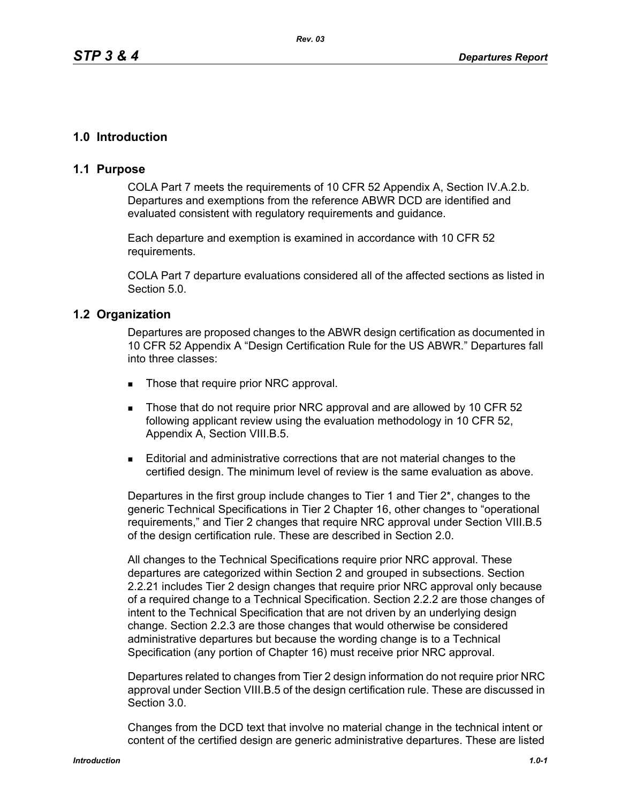# **1.0 Introduction**

## **1.1 Purpose**

COLA Part 7 meets the requirements of 10 CFR 52 Appendix A, Section IV.A.2.b. Departures and exemptions from the reference ABWR DCD are identified and evaluated consistent with regulatory requirements and guidance.

Each departure and exemption is examined in accordance with 10 CFR 52 requirements.

COLA Part 7 departure evaluations considered all of the affected sections as listed in Section 5.0.

## **1.2 Organization**

Departures are proposed changes to the ABWR design certification as documented in 10 CFR 52 Appendix A "Design Certification Rule for the US ABWR." Departures fall into three classes:

- Those that require prior NRC approval.
- Those that do not require prior NRC approval and are allowed by 10 CFR 52 following applicant review using the evaluation methodology in 10 CFR 52, Appendix A, Section VIII.B.5.
- Editorial and administrative corrections that are not material changes to the certified design. The minimum level of review is the same evaluation as above.

Departures in the first group include changes to Tier 1 and Tier 2\*, changes to the generic Technical Specifications in Tier 2 Chapter 16, other changes to "operational requirements," and Tier 2 changes that require NRC approval under Section VIII.B.5 of the design certification rule. These are described in Section 2.0.

All changes to the Technical Specifications require prior NRC approval. These departures are categorized within Section 2 and grouped in subsections. Section 2.2.21 includes Tier 2 design changes that require prior NRC approval only because of a required change to a Technical Specification. Section 2.2.2 are those changes of intent to the Technical Specification that are not driven by an underlying design change. Section 2.2.3 are those changes that would otherwise be considered administrative departures but because the wording change is to a Technical Specification (any portion of Chapter 16) must receive prior NRC approval.

Departures related to changes from Tier 2 design information do not require prior NRC approval under Section VIII.B.5 of the design certification rule. These are discussed in Section 3.0.

Changes from the DCD text that involve no material change in the technical intent or content of the certified design are generic administrative departures. These are listed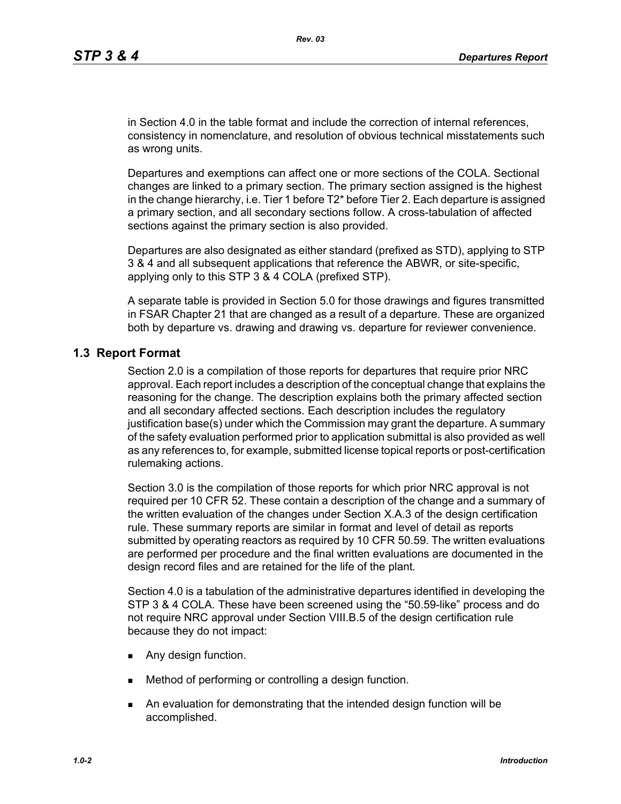in Section 4.0 in the table format and include the correction of internal references, consistency in nomenclature, and resolution of obvious technical misstatements such as wrong units.

Departures and exemptions can affect one or more sections of the COLA. Sectional changes are linked to a primary section. The primary section assigned is the highest in the change hierarchy, i.e. Tier 1 before T2\* before Tier 2. Each departure is assigned a primary section, and all secondary sections follow. A cross-tabulation of affected sections against the primary section is also provided.

Departures are also designated as either standard (prefixed as STD), applying to STP 3 & 4 and all subsequent applications that reference the ABWR, or site-specific, applying only to this STP 3 & 4 COLA (prefixed STP).

A separate table is provided in Section 5.0 for those drawings and figures transmitted in FSAR Chapter 21 that are changed as a result of a departure. These are organized both by departure vs. drawing and drawing vs. departure for reviewer convenience.

### **1.3 Report Format**

Section 2.0 is a compilation of those reports for departures that require prior NRC approval. Each report includes a description of the conceptual change that explains the reasoning for the change. The description explains both the primary affected section and all secondary affected sections. Each description includes the regulatory justification base(s) under which the Commission may grant the departure. A summary of the safety evaluation performed prior to application submittal is also provided as well as any references to, for example, submitted license topical reports or post-certification rulemaking actions.

Section 3.0 is the compilation of those reports for which prior NRC approval is not required per 10 CFR 52. These contain a description of the change and a summary of the written evaluation of the changes under Section X.A.3 of the design certification rule. These summary reports are similar in format and level of detail as reports submitted by operating reactors as required by 10 CFR 50.59. The written evaluations are performed per procedure and the final written evaluations are documented in the design record files and are retained for the life of the plant*.*

Section 4.0 is a tabulation of the administrative departures identified in developing the STP 3 & 4 COLA. These have been screened using the "50.59-like" process and do not require NRC approval under Section VIII.B.5 of the design certification rule because they do not impact:

- **Any design function.**
- **Method of performing or controlling a design function.**
- An evaluation for demonstrating that the intended design function will be accomplished.